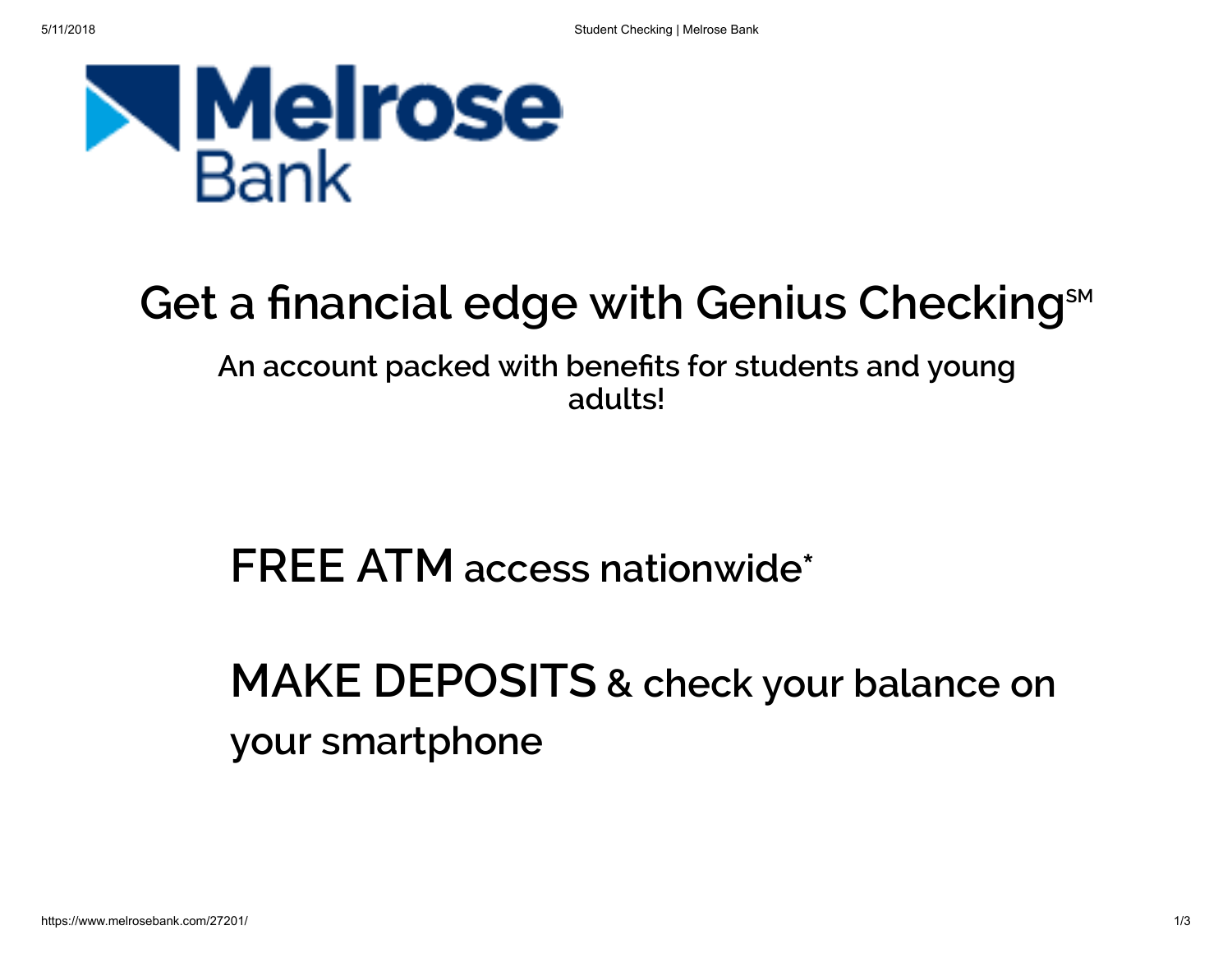

# Get a financial edge with Genius Checking<sup>sM</sup>

An account packed with benefits for students and young adults!

FREE ATM access nationwide\*

MAKE DEPOSITS & check your balance on your smartphone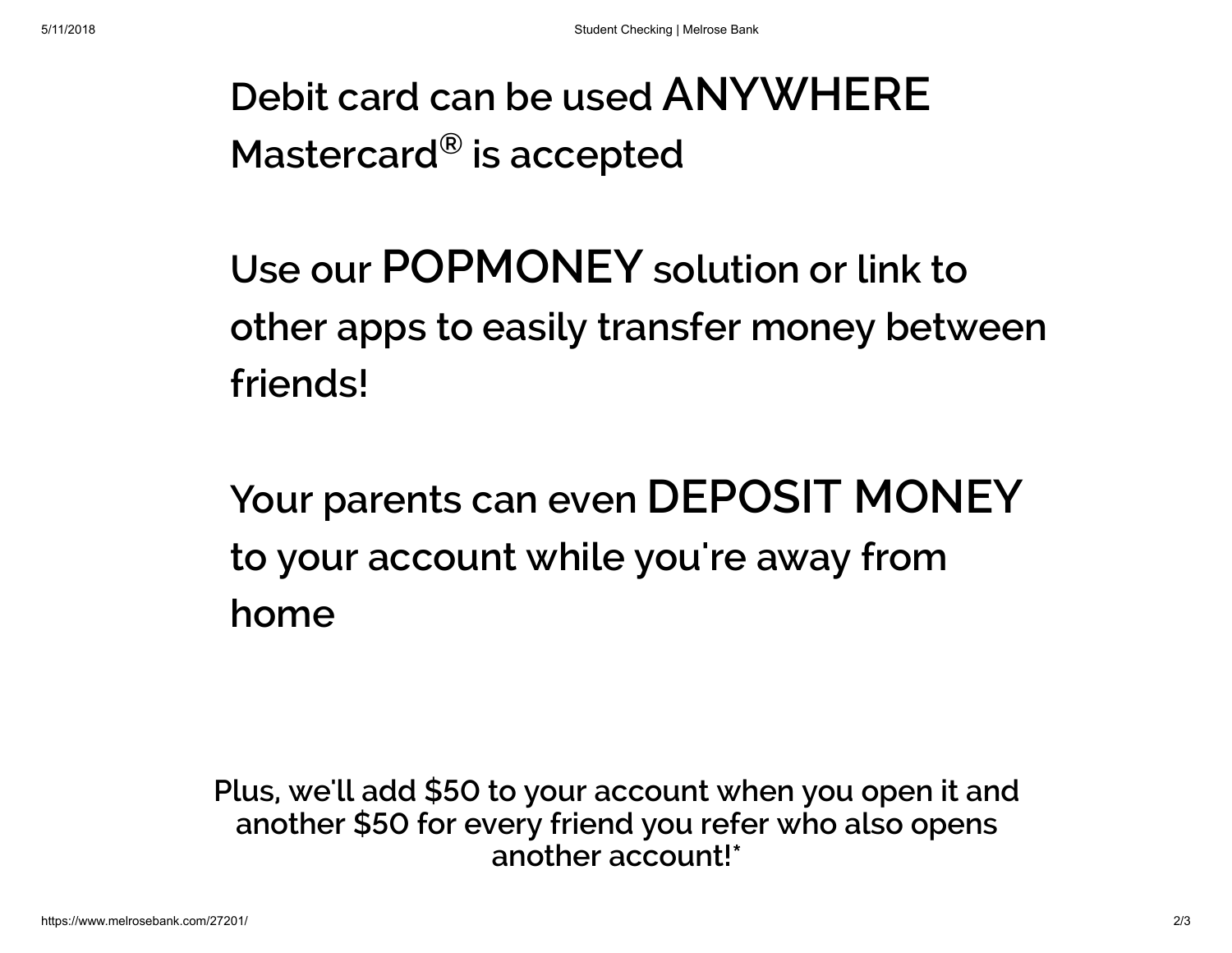### Debit card can be used ANYWHERE Mastercard $^{\circledR}$  is accepted

# Use our POPMONEY solution or link to other apps to easily transfer money between friends!

Your parents can even DEPOSIT MONEY to your account while you're away from home

Plus, we'll add \$50 to your account when you open it and another \$50 for every friend you refer who also opens another account!\*